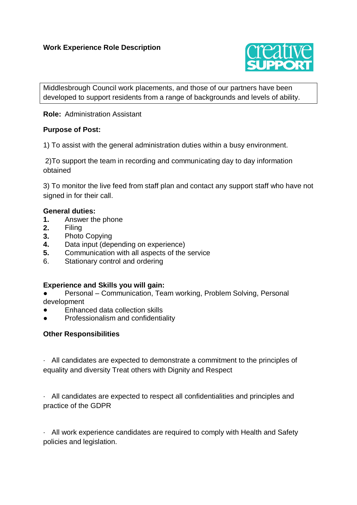# **Work Experience Role Description**



Middlesbrough Council work placements, and those of our partners have been developed to support residents from a range of backgrounds and levels of ability.

## **Role:** Administration Assistant

## **Purpose of Post:**

1) To assist with the general administration duties within a busy environment.

2)To support the team in recording and communicating day to day information obtained

3) To monitor the live feed from staff plan and contact any support staff who have not signed in for their call.

#### **General duties:**

- **1.** Answer the phone
- **2.** Filing
- **3.** Photo Copying
- **4.** Data input (depending on experience)
- **5.** Communication with all aspects of the service
- 6. Stationary control and ordering

#### **Experience and Skills you will gain:**

Personal – Communication, Team working, Problem Solving, Personal development

- Enhanced data collection skills
- Professionalism and confidentiality

#### **Other Responsibilities**

· All candidates are expected to demonstrate a commitment to the principles of equality and diversity Treat others with Dignity and Respect

· All candidates are expected to respect all confidentialities and principles and practice of the GDPR

· All work experience candidates are required to comply with Health and Safety policies and legislation.